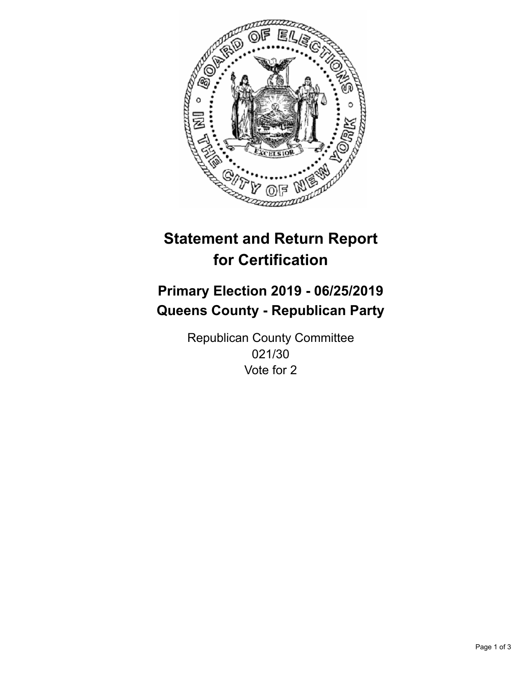

## **Statement and Return Report for Certification**

## **Primary Election 2019 - 06/25/2019 Queens County - Republican Party**

Republican County Committee 021/30 Vote for 2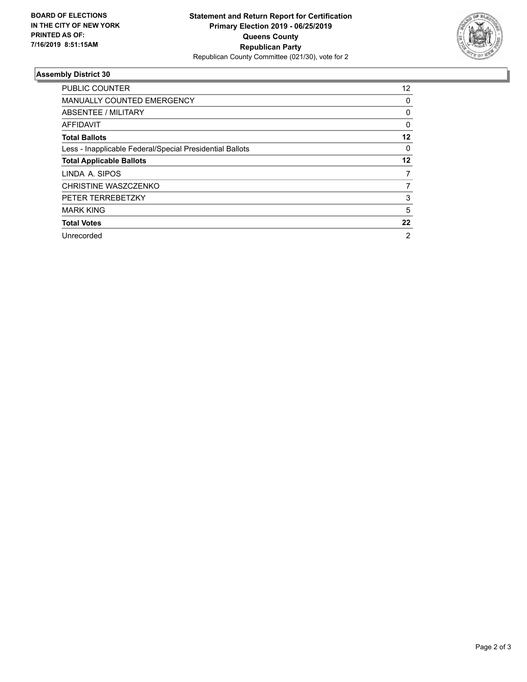

## **Assembly District 30**

| <b>PUBLIC COUNTER</b>                                    | $12 \overline{ }$ |
|----------------------------------------------------------|-------------------|
| <b>MANUALLY COUNTED EMERGENCY</b>                        | 0                 |
| ABSENTEE / MILITARY                                      | 0                 |
| AFFIDAVIT                                                | $\Omega$          |
| <b>Total Ballots</b>                                     | 12                |
| Less - Inapplicable Federal/Special Presidential Ballots | 0                 |
| <b>Total Applicable Ballots</b>                          | 12                |
| LINDA A. SIPOS                                           | 7                 |
| CHRISTINE WASZCZENKO                                     |                   |
| PETER TERREBETZKY                                        | 3                 |
| <b>MARK KING</b>                                         | 5                 |
| <b>Total Votes</b>                                       | 22                |
| Unrecorded                                               | 2                 |